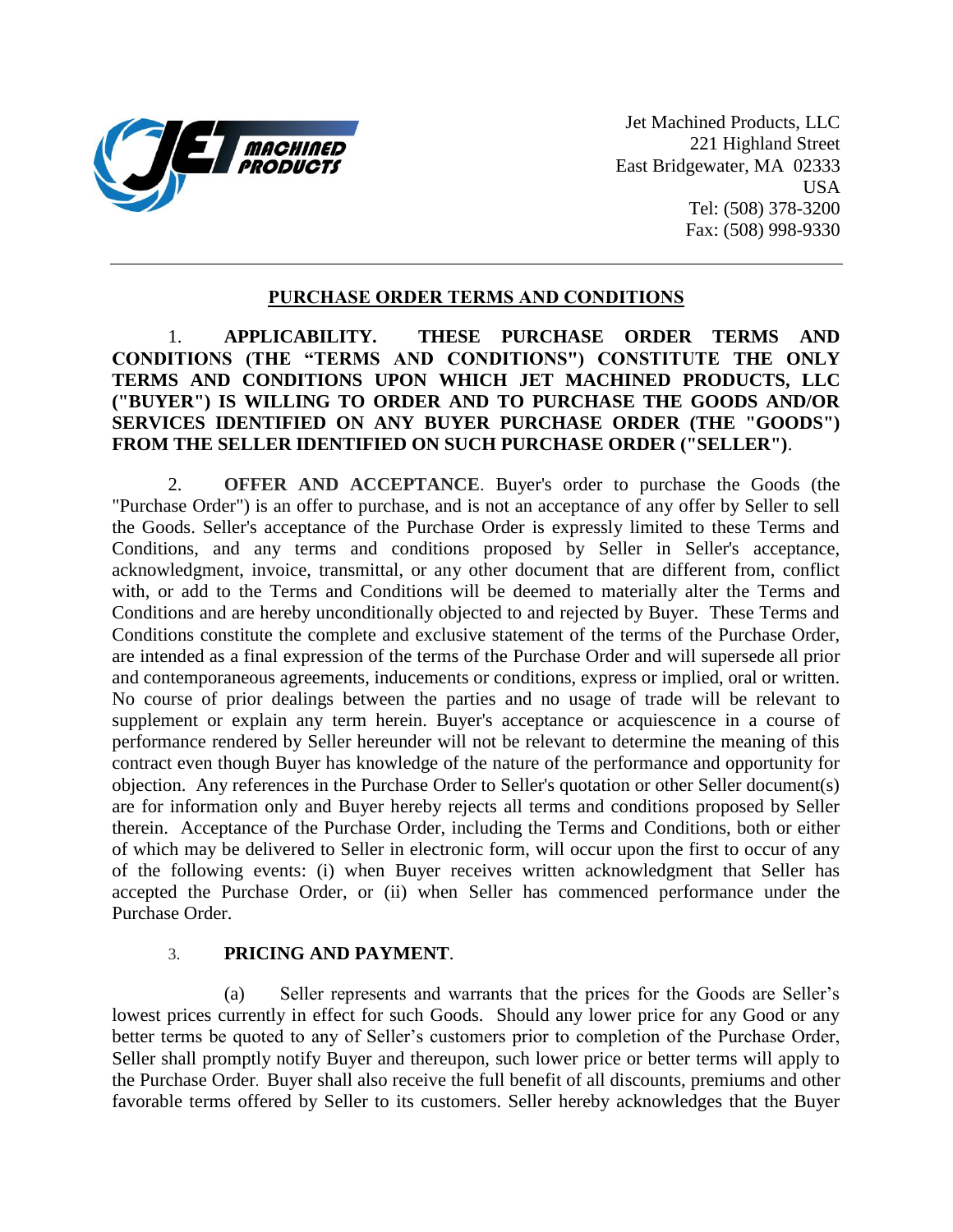

Jet Machined Products, LLC 221 Highland Street East Bridgewater, MA 02333 USA Tel: (508) 378-3200 Fax: (508) 998-9330

#### **PURCHASE ORDER TERMS AND CONDITIONS**

## 1. **APPLICABILITY. THESE PURCHASE ORDER TERMS AND CONDITIONS (THE "TERMS AND CONDITIONS") CONSTITUTE THE ONLY TERMS AND CONDITIONS UPON WHICH JET MACHINED PRODUCTS, LLC ("BUYER") IS WILLING TO ORDER AND TO PURCHASE THE GOODS AND/OR SERVICES IDENTIFIED ON ANY BUYER PURCHASE ORDER (THE "GOODS") FROM THE SELLER IDENTIFIED ON SUCH PURCHASE ORDER ("SELLER")**.

2. **OFFER AND ACCEPTANCE**. Buyer's order to purchase the Goods (the "Purchase Order") is an offer to purchase, and is not an acceptance of any offer by Seller to sell the Goods. Seller's acceptance of the Purchase Order is expressly limited to these Terms and Conditions, and any terms and conditions proposed by Seller in Seller's acceptance, acknowledgment, invoice, transmittal, or any other document that are different from, conflict with, or add to the Terms and Conditions will be deemed to materially alter the Terms and Conditions and are hereby unconditionally objected to and rejected by Buyer. These Terms and Conditions constitute the complete and exclusive statement of the terms of the Purchase Order, are intended as a final expression of the terms of the Purchase Order and will supersede all prior and contemporaneous agreements, inducements or conditions, express or implied, oral or written. No course of prior dealings between the parties and no usage of trade will be relevant to supplement or explain any term herein. Buyer's acceptance or acquiescence in a course of performance rendered by Seller hereunder will not be relevant to determine the meaning of this contract even though Buyer has knowledge of the nature of the performance and opportunity for objection. Any references in the Purchase Order to Seller's quotation or other Seller document(s) are for information only and Buyer hereby rejects all terms and conditions proposed by Seller therein. Acceptance of the Purchase Order, including the Terms and Conditions, both or either of which may be delivered to Seller in electronic form, will occur upon the first to occur of any of the following events: (i) when Buyer receives written acknowledgment that Seller has accepted the Purchase Order, or (ii) when Seller has commenced performance under the Purchase Order.

#### 3. **PRICING AND PAYMENT**.

(a) Seller represents and warrants that the prices for the Goods are Seller's lowest prices currently in effect for such Goods. Should any lower price for any Good or any better terms be quoted to any of Seller's customers prior to completion of the Purchase Order, Seller shall promptly notify Buyer and thereupon, such lower price or better terms will apply to the Purchase Order. Buyer shall also receive the full benefit of all discounts, premiums and other favorable terms offered by Seller to its customers. Seller hereby acknowledges that the Buyer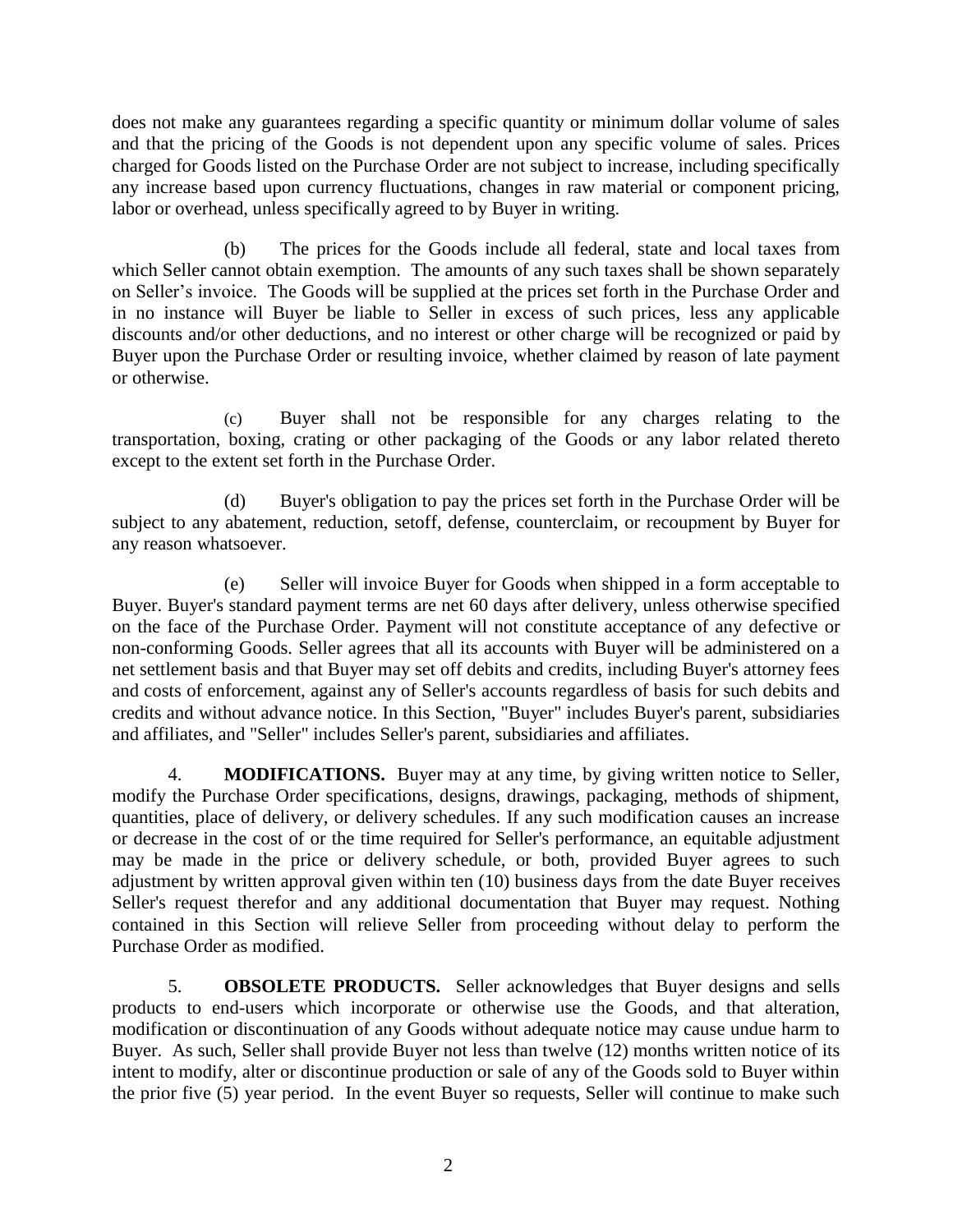does not make any guarantees regarding a specific quantity or minimum dollar volume of sales and that the pricing of the Goods is not dependent upon any specific volume of sales. Prices charged for Goods listed on the Purchase Order are not subject to increase, including specifically any increase based upon currency fluctuations, changes in raw material or component pricing, labor or overhead, unless specifically agreed to by Buyer in writing.

(b) The prices for the Goods include all federal, state and local taxes from which Seller cannot obtain exemption. The amounts of any such taxes shall be shown separately on Seller's invoice. The Goods will be supplied at the prices set forth in the Purchase Order and in no instance will Buyer be liable to Seller in excess of such prices, less any applicable discounts and/or other deductions, and no interest or other charge will be recognized or paid by Buyer upon the Purchase Order or resulting invoice, whether claimed by reason of late payment or otherwise.

(c) Buyer shall not be responsible for any charges relating to the transportation, boxing, crating or other packaging of the Goods or any labor related thereto except to the extent set forth in the Purchase Order.

(d) Buyer's obligation to pay the prices set forth in the Purchase Order will be subject to any abatement, reduction, setoff, defense, counterclaim, or recoupment by Buyer for any reason whatsoever.

(e) Seller will invoice Buyer for Goods when shipped in a form acceptable to Buyer. Buyer's standard payment terms are net 60 days after delivery, unless otherwise specified on the face of the Purchase Order. Payment will not constitute acceptance of any defective or non-conforming Goods. Seller agrees that all its accounts with Buyer will be administered on a net settlement basis and that Buyer may set off debits and credits, including Buyer's attorney fees and costs of enforcement, against any of Seller's accounts regardless of basis for such debits and credits and without advance notice. In this Section, "Buyer" includes Buyer's parent, subsidiaries and affiliates, and "Seller" includes Seller's parent, subsidiaries and affiliates.

4. **MODIFICATIONS.** Buyer may at any time, by giving written notice to Seller, modify the Purchase Order specifications, designs, drawings, packaging, methods of shipment, quantities, place of delivery, or delivery schedules. If any such modification causes an increase or decrease in the cost of or the time required for Seller's performance, an equitable adjustment may be made in the price or delivery schedule, or both, provided Buyer agrees to such adjustment by written approval given within ten (10) business days from the date Buyer receives Seller's request therefor and any additional documentation that Buyer may request. Nothing contained in this Section will relieve Seller from proceeding without delay to perform the Purchase Order as modified.

5. **OBSOLETE PRODUCTS.** Seller acknowledges that Buyer designs and sells products to end-users which incorporate or otherwise use the Goods, and that alteration, modification or discontinuation of any Goods without adequate notice may cause undue harm to Buyer. As such, Seller shall provide Buyer not less than twelve (12) months written notice of its intent to modify, alter or discontinue production or sale of any of the Goods sold to Buyer within the prior five (5) year period. In the event Buyer so requests, Seller will continue to make such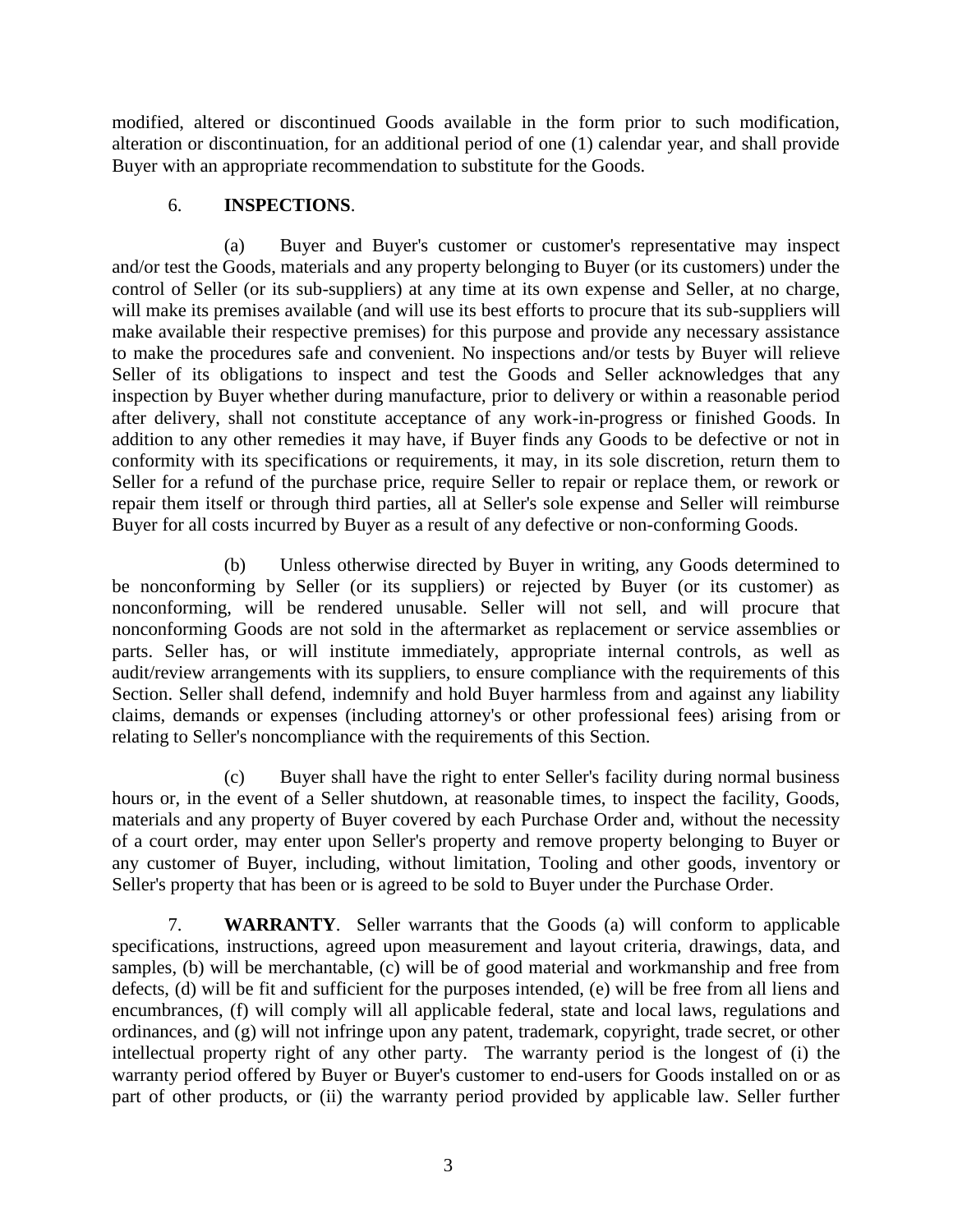modified, altered or discontinued Goods available in the form prior to such modification, alteration or discontinuation, for an additional period of one (1) calendar year, and shall provide Buyer with an appropriate recommendation to substitute for the Goods.

## 6. **INSPECTIONS**.

(a) Buyer and Buyer's customer or customer's representative may inspect and/or test the Goods, materials and any property belonging to Buyer (or its customers) under the control of Seller (or its sub-suppliers) at any time at its own expense and Seller, at no charge, will make its premises available (and will use its best efforts to procure that its sub-suppliers will make available their respective premises) for this purpose and provide any necessary assistance to make the procedures safe and convenient. No inspections and/or tests by Buyer will relieve Seller of its obligations to inspect and test the Goods and Seller acknowledges that any inspection by Buyer whether during manufacture, prior to delivery or within a reasonable period after delivery, shall not constitute acceptance of any work-in-progress or finished Goods. In addition to any other remedies it may have, if Buyer finds any Goods to be defective or not in conformity with its specifications or requirements, it may, in its sole discretion, return them to Seller for a refund of the purchase price, require Seller to repair or replace them, or rework or repair them itself or through third parties, all at Seller's sole expense and Seller will reimburse Buyer for all costs incurred by Buyer as a result of any defective or non-conforming Goods.

(b) Unless otherwise directed by Buyer in writing, any Goods determined to be nonconforming by Seller (or its suppliers) or rejected by Buyer (or its customer) as nonconforming, will be rendered unusable. Seller will not sell, and will procure that nonconforming Goods are not sold in the aftermarket as replacement or service assemblies or parts. Seller has, or will institute immediately, appropriate internal controls, as well as audit/review arrangements with its suppliers, to ensure compliance with the requirements of this Section. Seller shall defend, indemnify and hold Buyer harmless from and against any liability claims, demands or expenses (including attorney's or other professional fees) arising from or relating to Seller's noncompliance with the requirements of this Section.

(c) Buyer shall have the right to enter Seller's facility during normal business hours or, in the event of a Seller shutdown, at reasonable times, to inspect the facility, Goods, materials and any property of Buyer covered by each Purchase Order and, without the necessity of a court order, may enter upon Seller's property and remove property belonging to Buyer or any customer of Buyer, including, without limitation, Tooling and other goods, inventory or Seller's property that has been or is agreed to be sold to Buyer under the Purchase Order.

7. **WARRANTY**. Seller warrants that the Goods (a) will conform to applicable specifications, instructions, agreed upon measurement and layout criteria, drawings, data, and samples, (b) will be merchantable, (c) will be of good material and workmanship and free from defects, (d) will be fit and sufficient for the purposes intended, (e) will be free from all liens and encumbrances, (f) will comply will all applicable federal, state and local laws, regulations and ordinances, and (g) will not infringe upon any patent, trademark, copyright, trade secret, or other intellectual property right of any other party. The warranty period is the longest of (i) the warranty period offered by Buyer or Buyer's customer to end-users for Goods installed on or as part of other products, or (ii) the warranty period provided by applicable law. Seller further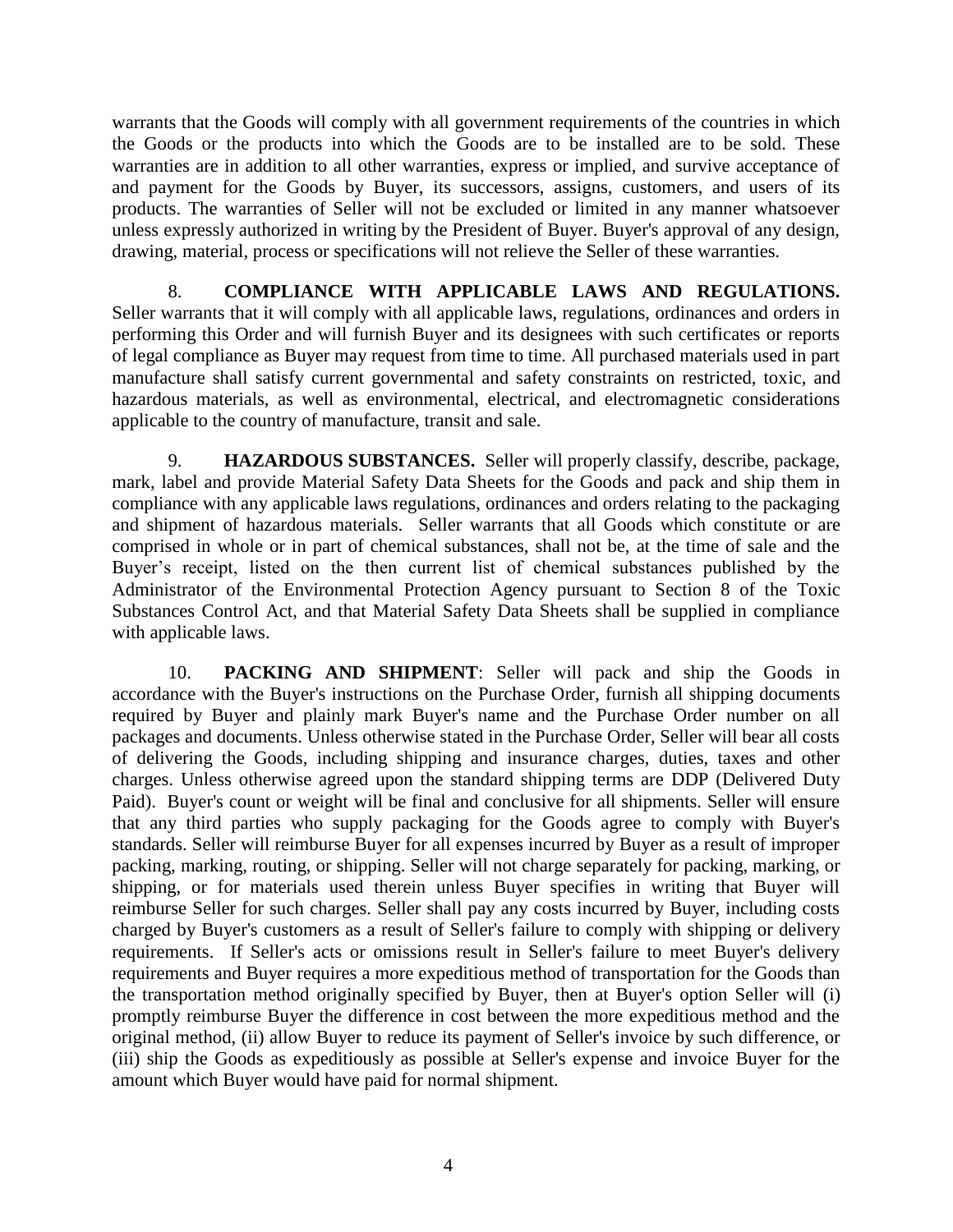warrants that the Goods will comply with all government requirements of the countries in which the Goods or the products into which the Goods are to be installed are to be sold. These warranties are in addition to all other warranties, express or implied, and survive acceptance of and payment for the Goods by Buyer, its successors, assigns, customers, and users of its products. The warranties of Seller will not be excluded or limited in any manner whatsoever unless expressly authorized in writing by the President of Buyer. Buyer's approval of any design, drawing, material, process or specifications will not relieve the Seller of these warranties.

8. **COMPLIANCE WITH APPLICABLE LAWS AND REGULATIONS.** Seller warrants that it will comply with all applicable laws, regulations, ordinances and orders in performing this Order and will furnish Buyer and its designees with such certificates or reports of legal compliance as Buyer may request from time to time. All purchased materials used in part manufacture shall satisfy current governmental and safety constraints on restricted, toxic, and hazardous materials, as well as environmental, electrical, and electromagnetic considerations applicable to the country of manufacture, transit and sale.

9. **HAZARDOUS SUBSTANCES.** Seller will properly classify, describe, package, mark, label and provide Material Safety Data Sheets for the Goods and pack and ship them in compliance with any applicable laws regulations, ordinances and orders relating to the packaging and shipment of hazardous materials. Seller warrants that all Goods which constitute or are comprised in whole or in part of chemical substances, shall not be, at the time of sale and the Buyer's receipt, listed on the then current list of chemical substances published by the Administrator of the Environmental Protection Agency pursuant to Section 8 of the Toxic Substances Control Act, and that Material Safety Data Sheets shall be supplied in compliance with applicable laws.

10. **PACKING AND SHIPMENT**: Seller will pack and ship the Goods in accordance with the Buyer's instructions on the Purchase Order, furnish all shipping documents required by Buyer and plainly mark Buyer's name and the Purchase Order number on all packages and documents. Unless otherwise stated in the Purchase Order, Seller will bear all costs of delivering the Goods, including shipping and insurance charges, duties, taxes and other charges. Unless otherwise agreed upon the standard shipping terms are DDP (Delivered Duty Paid). Buyer's count or weight will be final and conclusive for all shipments. Seller will ensure that any third parties who supply packaging for the Goods agree to comply with Buyer's standards. Seller will reimburse Buyer for all expenses incurred by Buyer as a result of improper packing, marking, routing, or shipping. Seller will not charge separately for packing, marking, or shipping, or for materials used therein unless Buyer specifies in writing that Buyer will reimburse Seller for such charges. Seller shall pay any costs incurred by Buyer, including costs charged by Buyer's customers as a result of Seller's failure to comply with shipping or delivery requirements. If Seller's acts or omissions result in Seller's failure to meet Buyer's delivery requirements and Buyer requires a more expeditious method of transportation for the Goods than the transportation method originally specified by Buyer, then at Buyer's option Seller will (i) promptly reimburse Buyer the difference in cost between the more expeditious method and the original method, (ii) allow Buyer to reduce its payment of Seller's invoice by such difference, or (iii) ship the Goods as expeditiously as possible at Seller's expense and invoice Buyer for the amount which Buyer would have paid for normal shipment.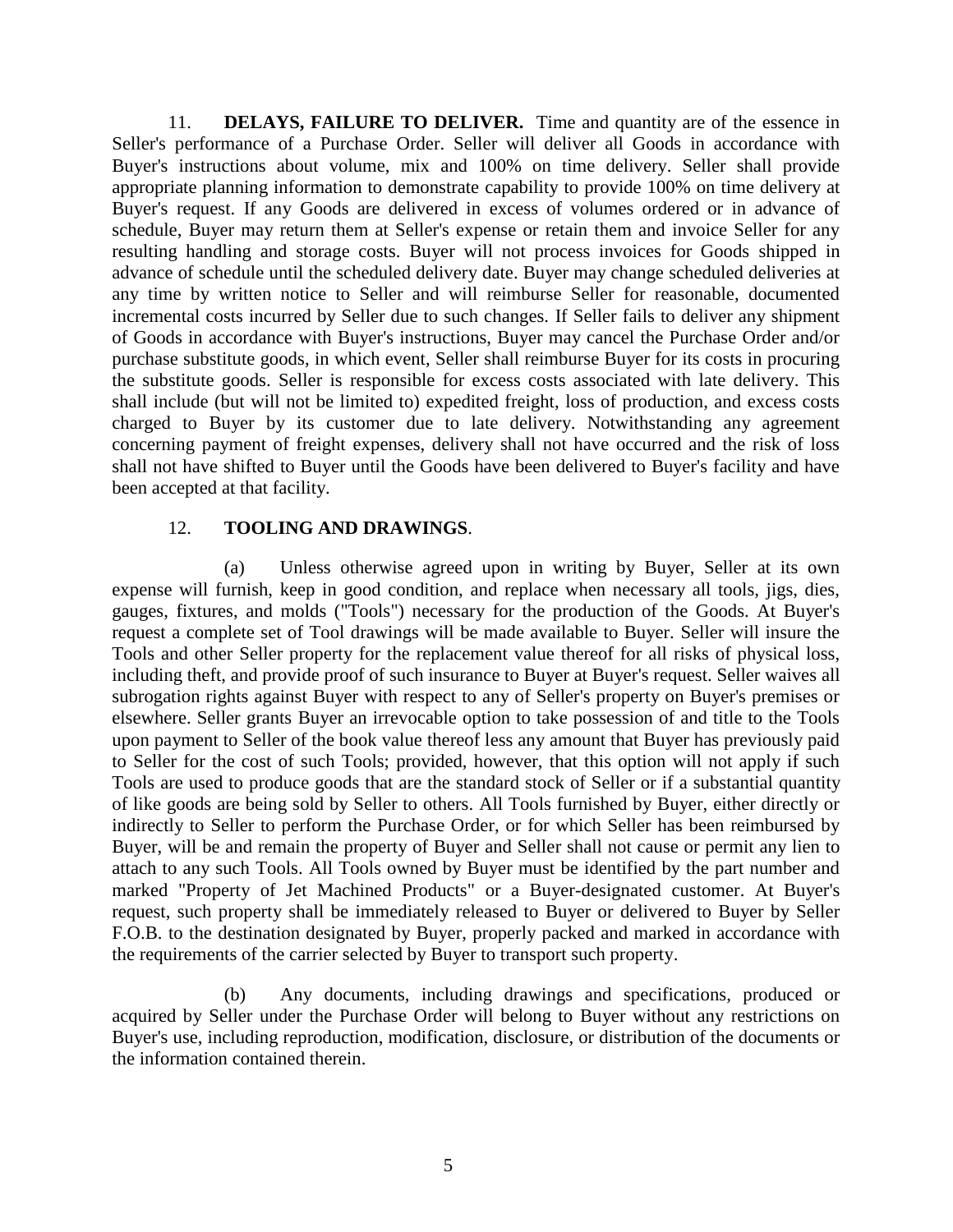11. **DELAYS, FAILURE TO DELIVER.** Time and quantity are of the essence in Seller's performance of a Purchase Order. Seller will deliver all Goods in accordance with Buyer's instructions about volume, mix and 100% on time delivery. Seller shall provide appropriate planning information to demonstrate capability to provide 100% on time delivery at Buyer's request. If any Goods are delivered in excess of volumes ordered or in advance of schedule, Buyer may return them at Seller's expense or retain them and invoice Seller for any resulting handling and storage costs. Buyer will not process invoices for Goods shipped in advance of schedule until the scheduled delivery date. Buyer may change scheduled deliveries at any time by written notice to Seller and will reimburse Seller for reasonable, documented incremental costs incurred by Seller due to such changes. If Seller fails to deliver any shipment of Goods in accordance with Buyer's instructions, Buyer may cancel the Purchase Order and/or purchase substitute goods, in which event, Seller shall reimburse Buyer for its costs in procuring the substitute goods. Seller is responsible for excess costs associated with late delivery. This shall include (but will not be limited to) expedited freight, loss of production, and excess costs charged to Buyer by its customer due to late delivery. Notwithstanding any agreement concerning payment of freight expenses, delivery shall not have occurred and the risk of loss shall not have shifted to Buyer until the Goods have been delivered to Buyer's facility and have been accepted at that facility.

#### 12. **TOOLING AND DRAWINGS**.

(a) Unless otherwise agreed upon in writing by Buyer, Seller at its own expense will furnish, keep in good condition, and replace when necessary all tools, jigs, dies, gauges, fixtures, and molds ("Tools") necessary for the production of the Goods. At Buyer's request a complete set of Tool drawings will be made available to Buyer. Seller will insure the Tools and other Seller property for the replacement value thereof for all risks of physical loss, including theft, and provide proof of such insurance to Buyer at Buyer's request. Seller waives all subrogation rights against Buyer with respect to any of Seller's property on Buyer's premises or elsewhere. Seller grants Buyer an irrevocable option to take possession of and title to the Tools upon payment to Seller of the book value thereof less any amount that Buyer has previously paid to Seller for the cost of such Tools; provided, however, that this option will not apply if such Tools are used to produce goods that are the standard stock of Seller or if a substantial quantity of like goods are being sold by Seller to others. All Tools furnished by Buyer, either directly or indirectly to Seller to perform the Purchase Order, or for which Seller has been reimbursed by Buyer, will be and remain the property of Buyer and Seller shall not cause or permit any lien to attach to any such Tools. All Tools owned by Buyer must be identified by the part number and marked "Property of Jet Machined Products" or a Buyer-designated customer. At Buyer's request, such property shall be immediately released to Buyer or delivered to Buyer by Seller F.O.B. to the destination designated by Buyer, properly packed and marked in accordance with the requirements of the carrier selected by Buyer to transport such property.

(b) Any documents, including drawings and specifications, produced or acquired by Seller under the Purchase Order will belong to Buyer without any restrictions on Buyer's use, including reproduction, modification, disclosure, or distribution of the documents or the information contained therein.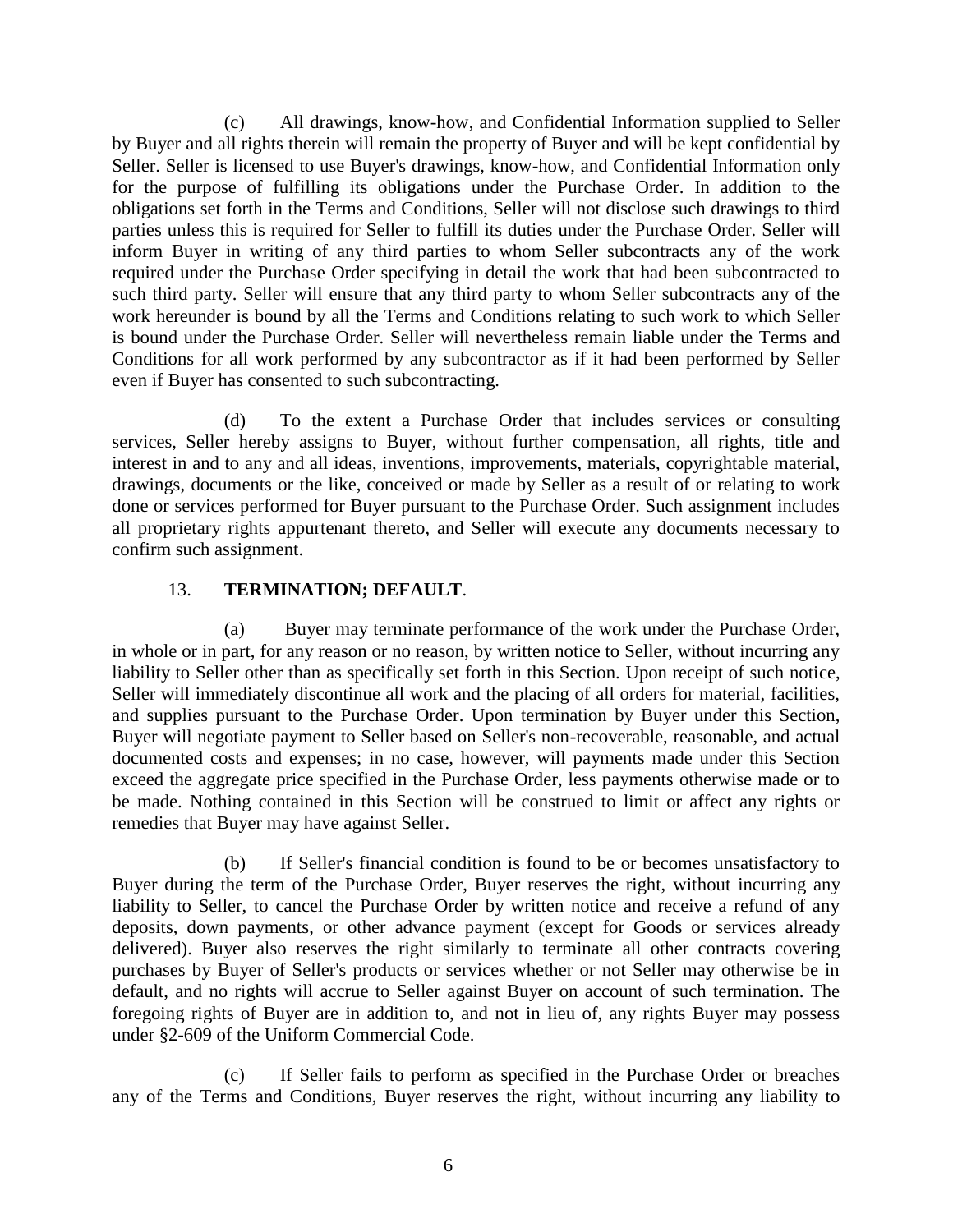(c) All drawings, know-how, and Confidential Information supplied to Seller by Buyer and all rights therein will remain the property of Buyer and will be kept confidential by Seller. Seller is licensed to use Buyer's drawings, know-how, and Confidential Information only for the purpose of fulfilling its obligations under the Purchase Order. In addition to the obligations set forth in the Terms and Conditions, Seller will not disclose such drawings to third parties unless this is required for Seller to fulfill its duties under the Purchase Order. Seller will inform Buyer in writing of any third parties to whom Seller subcontracts any of the work required under the Purchase Order specifying in detail the work that had been subcontracted to such third party. Seller will ensure that any third party to whom Seller subcontracts any of the work hereunder is bound by all the Terms and Conditions relating to such work to which Seller is bound under the Purchase Order. Seller will nevertheless remain liable under the Terms and Conditions for all work performed by any subcontractor as if it had been performed by Seller even if Buyer has consented to such subcontracting.

(d) To the extent a Purchase Order that includes services or consulting services, Seller hereby assigns to Buyer, without further compensation, all rights, title and interest in and to any and all ideas, inventions, improvements, materials, copyrightable material, drawings, documents or the like, conceived or made by Seller as a result of or relating to work done or services performed for Buyer pursuant to the Purchase Order. Such assignment includes all proprietary rights appurtenant thereto, and Seller will execute any documents necessary to confirm such assignment.

# 13. **TERMINATION; DEFAULT**.

(a) Buyer may terminate performance of the work under the Purchase Order, in whole or in part, for any reason or no reason, by written notice to Seller, without incurring any liability to Seller other than as specifically set forth in this Section. Upon receipt of such notice, Seller will immediately discontinue all work and the placing of all orders for material, facilities, and supplies pursuant to the Purchase Order. Upon termination by Buyer under this Section, Buyer will negotiate payment to Seller based on Seller's non-recoverable, reasonable, and actual documented costs and expenses; in no case, however, will payments made under this Section exceed the aggregate price specified in the Purchase Order, less payments otherwise made or to be made. Nothing contained in this Section will be construed to limit or affect any rights or remedies that Buyer may have against Seller.

(b) If Seller's financial condition is found to be or becomes unsatisfactory to Buyer during the term of the Purchase Order, Buyer reserves the right, without incurring any liability to Seller, to cancel the Purchase Order by written notice and receive a refund of any deposits, down payments, or other advance payment (except for Goods or services already delivered). Buyer also reserves the right similarly to terminate all other contracts covering purchases by Buyer of Seller's products or services whether or not Seller may otherwise be in default, and no rights will accrue to Seller against Buyer on account of such termination. The foregoing rights of Buyer are in addition to, and not in lieu of, any rights Buyer may possess under §2-609 of the Uniform Commercial Code.

(c) If Seller fails to perform as specified in the Purchase Order or breaches any of the Terms and Conditions, Buyer reserves the right, without incurring any liability to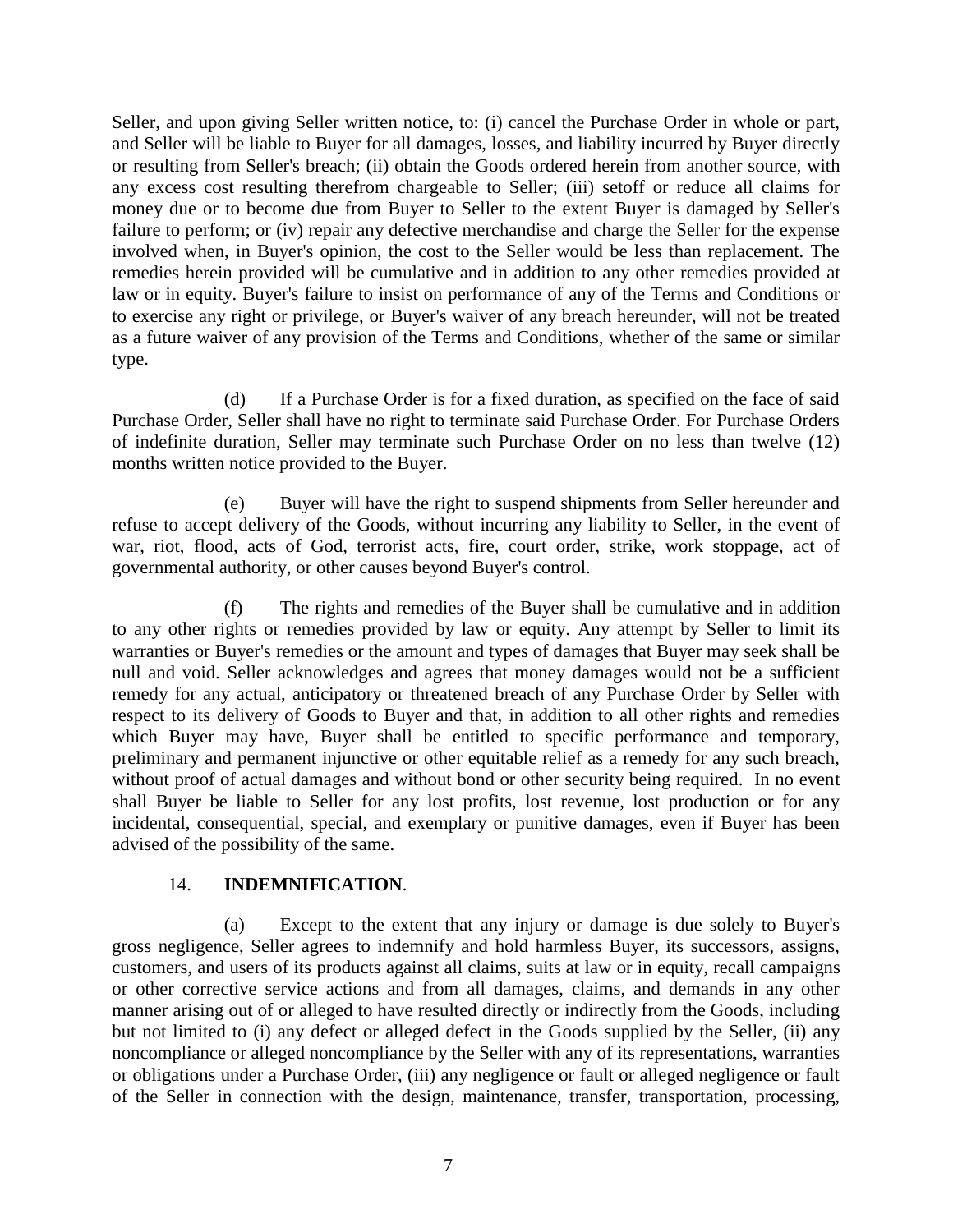Seller, and upon giving Seller written notice, to: (i) cancel the Purchase Order in whole or part, and Seller will be liable to Buyer for all damages, losses, and liability incurred by Buyer directly or resulting from Seller's breach; (ii) obtain the Goods ordered herein from another source, with any excess cost resulting therefrom chargeable to Seller; (iii) setoff or reduce all claims for money due or to become due from Buyer to Seller to the extent Buyer is damaged by Seller's failure to perform; or (iv) repair any defective merchandise and charge the Seller for the expense involved when, in Buyer's opinion, the cost to the Seller would be less than replacement. The remedies herein provided will be cumulative and in addition to any other remedies provided at law or in equity. Buyer's failure to insist on performance of any of the Terms and Conditions or to exercise any right or privilege, or Buyer's waiver of any breach hereunder, will not be treated as a future waiver of any provision of the Terms and Conditions, whether of the same or similar type.

(d) If a Purchase Order is for a fixed duration, as specified on the face of said Purchase Order, Seller shall have no right to terminate said Purchase Order. For Purchase Orders of indefinite duration, Seller may terminate such Purchase Order on no less than twelve (12) months written notice provided to the Buyer.

(e) Buyer will have the right to suspend shipments from Seller hereunder and refuse to accept delivery of the Goods, without incurring any liability to Seller, in the event of war, riot, flood, acts of God, terrorist acts, fire, court order, strike, work stoppage, act of governmental authority, or other causes beyond Buyer's control.

(f) The rights and remedies of the Buyer shall be cumulative and in addition to any other rights or remedies provided by law or equity. Any attempt by Seller to limit its warranties or Buyer's remedies or the amount and types of damages that Buyer may seek shall be null and void. Seller acknowledges and agrees that money damages would not be a sufficient remedy for any actual, anticipatory or threatened breach of any Purchase Order by Seller with respect to its delivery of Goods to Buyer and that, in addition to all other rights and remedies which Buyer may have, Buyer shall be entitled to specific performance and temporary, preliminary and permanent injunctive or other equitable relief as a remedy for any such breach, without proof of actual damages and without bond or other security being required. In no event shall Buyer be liable to Seller for any lost profits, lost revenue, lost production or for any incidental, consequential, special, and exemplary or punitive damages, even if Buyer has been advised of the possibility of the same.

## 14. **INDEMNIFICATION**.

(a) Except to the extent that any injury or damage is due solely to Buyer's gross negligence, Seller agrees to indemnify and hold harmless Buyer, its successors, assigns, customers, and users of its products against all claims, suits at law or in equity, recall campaigns or other corrective service actions and from all damages, claims, and demands in any other manner arising out of or alleged to have resulted directly or indirectly from the Goods, including but not limited to (i) any defect or alleged defect in the Goods supplied by the Seller, (ii) any noncompliance or alleged noncompliance by the Seller with any of its representations, warranties or obligations under a Purchase Order, (iii) any negligence or fault or alleged negligence or fault of the Seller in connection with the design, maintenance, transfer, transportation, processing,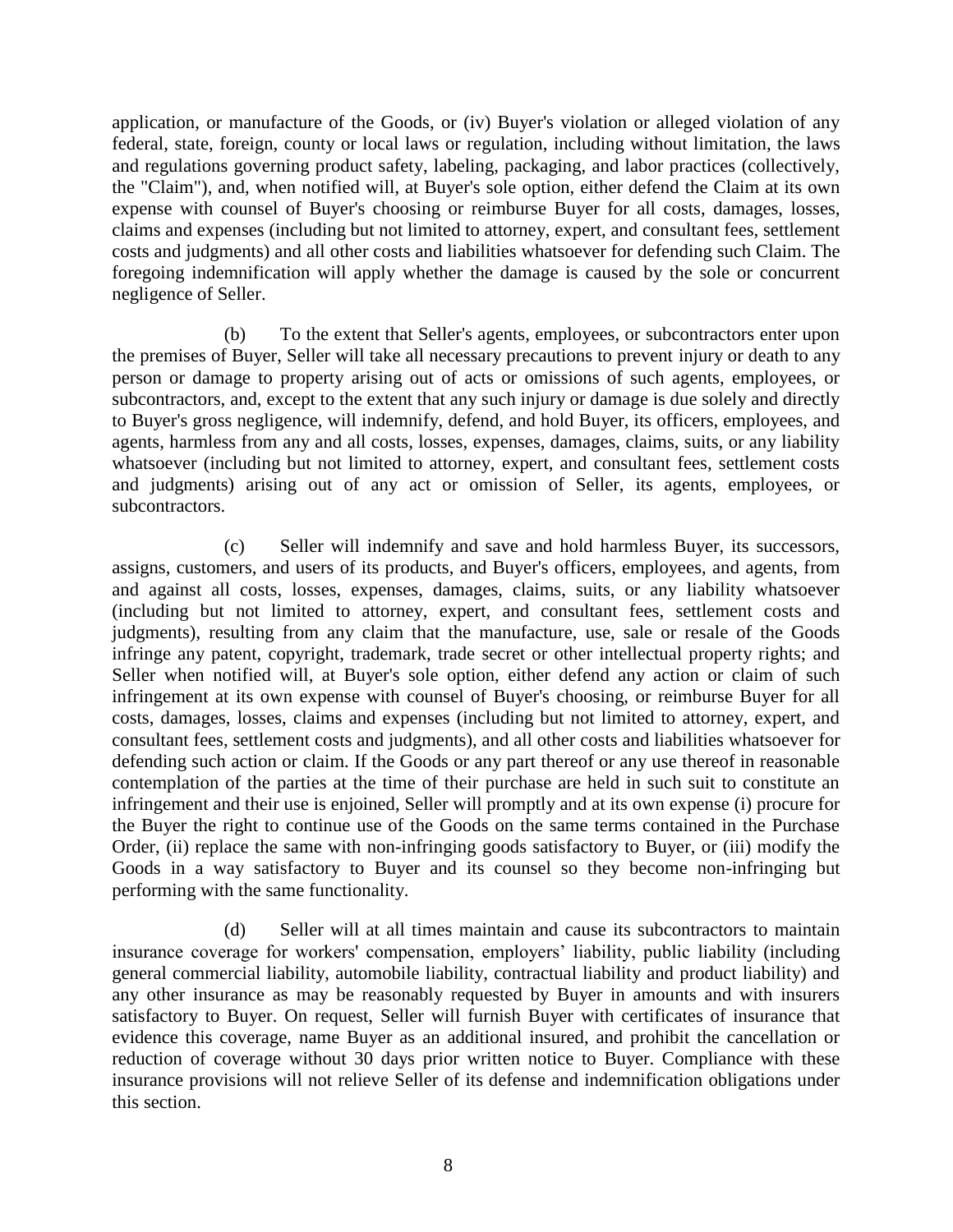application, or manufacture of the Goods, or (iv) Buyer's violation or alleged violation of any federal, state, foreign, county or local laws or regulation, including without limitation, the laws and regulations governing product safety, labeling, packaging, and labor practices (collectively, the "Claim"), and, when notified will, at Buyer's sole option, either defend the Claim at its own expense with counsel of Buyer's choosing or reimburse Buyer for all costs, damages, losses, claims and expenses (including but not limited to attorney, expert, and consultant fees, settlement costs and judgments) and all other costs and liabilities whatsoever for defending such Claim. The foregoing indemnification will apply whether the damage is caused by the sole or concurrent negligence of Seller.

(b) To the extent that Seller's agents, employees, or subcontractors enter upon the premises of Buyer, Seller will take all necessary precautions to prevent injury or death to any person or damage to property arising out of acts or omissions of such agents, employees, or subcontractors, and, except to the extent that any such injury or damage is due solely and directly to Buyer's gross negligence, will indemnify, defend, and hold Buyer, its officers, employees, and agents, harmless from any and all costs, losses, expenses, damages, claims, suits, or any liability whatsoever (including but not limited to attorney, expert, and consultant fees, settlement costs and judgments) arising out of any act or omission of Seller, its agents, employees, or subcontractors.

(c) Seller will indemnify and save and hold harmless Buyer, its successors, assigns, customers, and users of its products, and Buyer's officers, employees, and agents, from and against all costs, losses, expenses, damages, claims, suits, or any liability whatsoever (including but not limited to attorney, expert, and consultant fees, settlement costs and judgments), resulting from any claim that the manufacture, use, sale or resale of the Goods infringe any patent, copyright, trademark, trade secret or other intellectual property rights; and Seller when notified will, at Buyer's sole option, either defend any action or claim of such infringement at its own expense with counsel of Buyer's choosing, or reimburse Buyer for all costs, damages, losses, claims and expenses (including but not limited to attorney, expert, and consultant fees, settlement costs and judgments), and all other costs and liabilities whatsoever for defending such action or claim. If the Goods or any part thereof or any use thereof in reasonable contemplation of the parties at the time of their purchase are held in such suit to constitute an infringement and their use is enjoined, Seller will promptly and at its own expense (i) procure for the Buyer the right to continue use of the Goods on the same terms contained in the Purchase Order, (ii) replace the same with non-infringing goods satisfactory to Buyer, or (iii) modify the Goods in a way satisfactory to Buyer and its counsel so they become non-infringing but performing with the same functionality.

(d) Seller will at all times maintain and cause its subcontractors to maintain insurance coverage for workers' compensation, employers' liability, public liability (including general commercial liability, automobile liability, contractual liability and product liability) and any other insurance as may be reasonably requested by Buyer in amounts and with insurers satisfactory to Buyer. On request, Seller will furnish Buyer with certificates of insurance that evidence this coverage, name Buyer as an additional insured, and prohibit the cancellation or reduction of coverage without 30 days prior written notice to Buyer. Compliance with these insurance provisions will not relieve Seller of its defense and indemnification obligations under this section.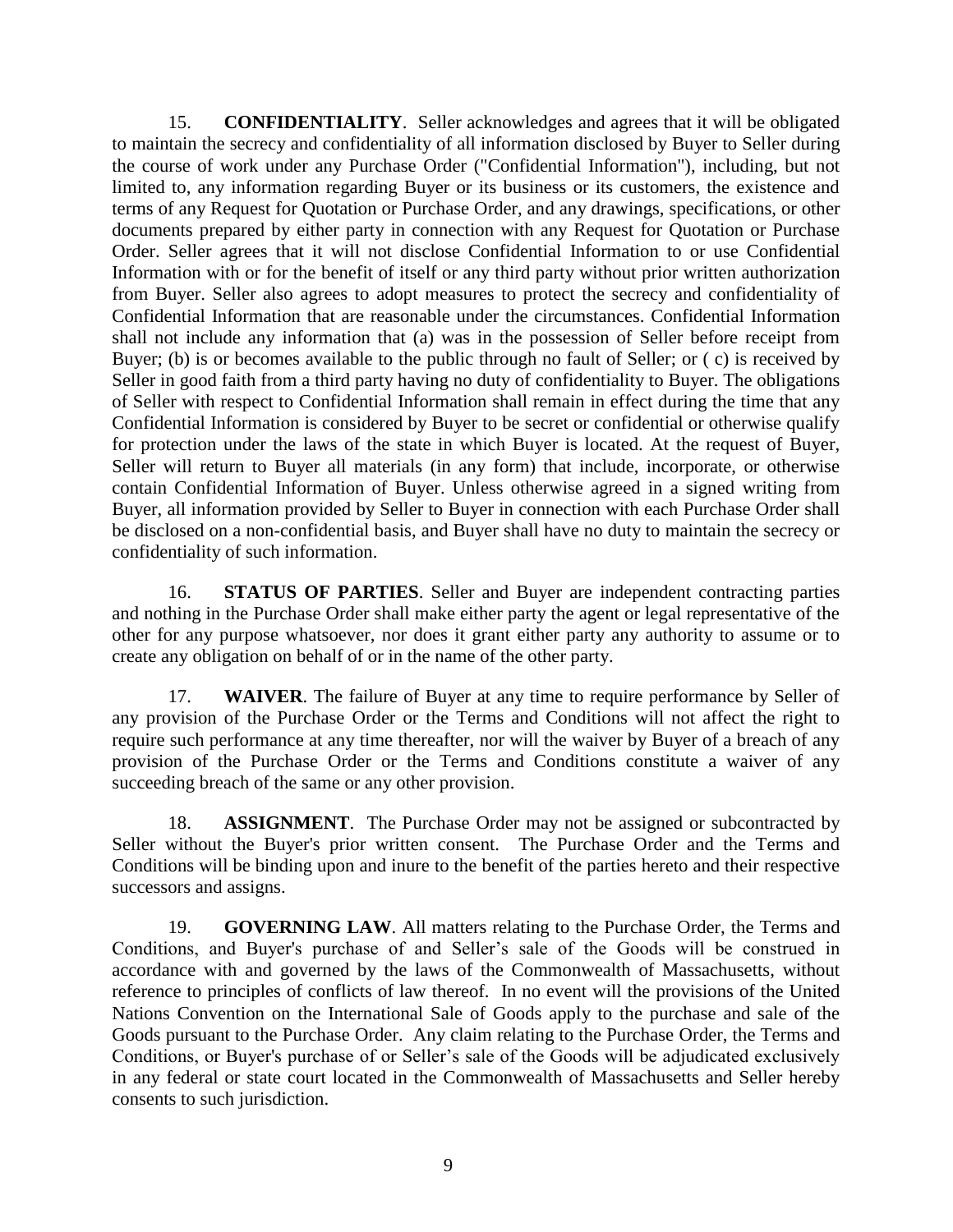15. **CONFIDENTIALITY**. Seller acknowledges and agrees that it will be obligated to maintain the secrecy and confidentiality of all information disclosed by Buyer to Seller during the course of work under any Purchase Order ("Confidential Information"), including, but not limited to, any information regarding Buyer or its business or its customers, the existence and terms of any Request for Quotation or Purchase Order, and any drawings, specifications, or other documents prepared by either party in connection with any Request for Quotation or Purchase Order. Seller agrees that it will not disclose Confidential Information to or use Confidential Information with or for the benefit of itself or any third party without prior written authorization from Buyer. Seller also agrees to adopt measures to protect the secrecy and confidentiality of Confidential Information that are reasonable under the circumstances. Confidential Information shall not include any information that (a) was in the possession of Seller before receipt from Buyer; (b) is or becomes available to the public through no fault of Seller; or ( c) is received by Seller in good faith from a third party having no duty of confidentiality to Buyer. The obligations of Seller with respect to Confidential Information shall remain in effect during the time that any Confidential Information is considered by Buyer to be secret or confidential or otherwise qualify for protection under the laws of the state in which Buyer is located. At the request of Buyer, Seller will return to Buyer all materials (in any form) that include, incorporate, or otherwise contain Confidential Information of Buyer. Unless otherwise agreed in a signed writing from Buyer, all information provided by Seller to Buyer in connection with each Purchase Order shall be disclosed on a non-confidential basis, and Buyer shall have no duty to maintain the secrecy or confidentiality of such information.

16. **STATUS OF PARTIES**. Seller and Buyer are independent contracting parties and nothing in the Purchase Order shall make either party the agent or legal representative of the other for any purpose whatsoever, nor does it grant either party any authority to assume or to create any obligation on behalf of or in the name of the other party.

17. **WAIVER**. The failure of Buyer at any time to require performance by Seller of any provision of the Purchase Order or the Terms and Conditions will not affect the right to require such performance at any time thereafter, nor will the waiver by Buyer of a breach of any provision of the Purchase Order or the Terms and Conditions constitute a waiver of any succeeding breach of the same or any other provision.

18. **ASSIGNMENT**. The Purchase Order may not be assigned or subcontracted by Seller without the Buyer's prior written consent. The Purchase Order and the Terms and Conditions will be binding upon and inure to the benefit of the parties hereto and their respective successors and assigns.

19. **GOVERNING LAW**. All matters relating to the Purchase Order, the Terms and Conditions, and Buyer's purchase of and Seller's sale of the Goods will be construed in accordance with and governed by the laws of the Commonwealth of Massachusetts, without reference to principles of conflicts of law thereof. In no event will the provisions of the United Nations Convention on the International Sale of Goods apply to the purchase and sale of the Goods pursuant to the Purchase Order. Any claim relating to the Purchase Order, the Terms and Conditions, or Buyer's purchase of or Seller's sale of the Goods will be adjudicated exclusively in any federal or state court located in the Commonwealth of Massachusetts and Seller hereby consents to such jurisdiction.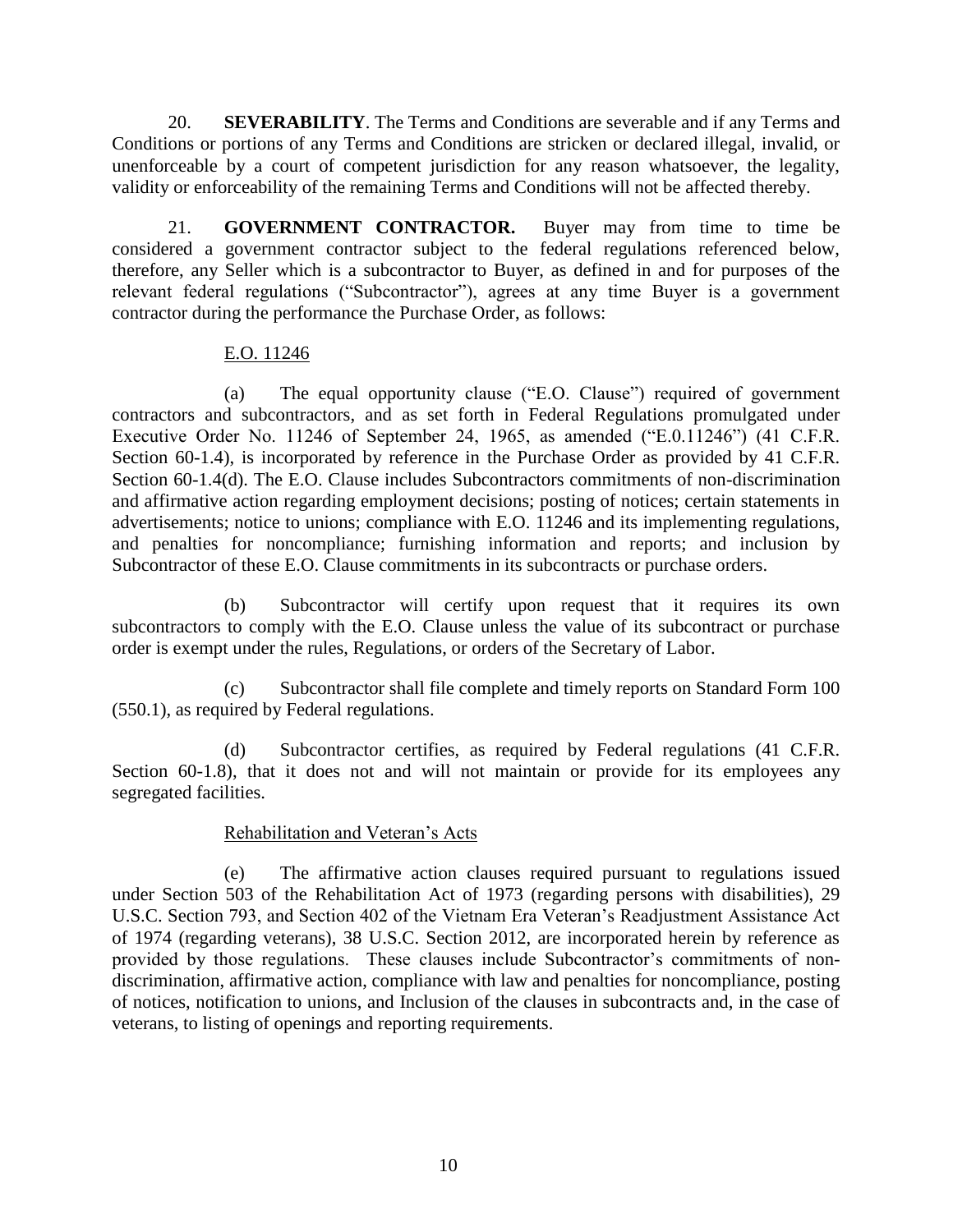20. **SEVERABILITY**. The Terms and Conditions are severable and if any Terms and Conditions or portions of any Terms and Conditions are stricken or declared illegal, invalid, or unenforceable by a court of competent jurisdiction for any reason whatsoever, the legality, validity or enforceability of the remaining Terms and Conditions will not be affected thereby.

21. **GOVERNMENT CONTRACTOR.** Buyer may from time to time be considered a government contractor subject to the federal regulations referenced below, therefore, any Seller which is a subcontractor to Buyer, as defined in and for purposes of the relevant federal regulations ("Subcontractor"), agrees at any time Buyer is a government contractor during the performance the Purchase Order, as follows:

### E.O. 11246

(a) The equal opportunity clause ("E.O. Clause") required of government contractors and subcontractors, and as set forth in Federal Regulations promulgated under Executive Order No. 11246 of September 24, 1965, as amended ("E.0.11246") (41 C.F.R. Section 60-1.4), is incorporated by reference in the Purchase Order as provided by 41 C.F.R. Section 60-1.4(d). The E.O. Clause includes Subcontractors commitments of non-discrimination and affirmative action regarding employment decisions; posting of notices; certain statements in advertisements; notice to unions; compliance with E.O. 11246 and its implementing regulations, and penalties for noncompliance; furnishing information and reports; and inclusion by Subcontractor of these E.O. Clause commitments in its subcontracts or purchase orders.

(b) Subcontractor will certify upon request that it requires its own subcontractors to comply with the E.O. Clause unless the value of its subcontract or purchase order is exempt under the rules, Regulations, or orders of the Secretary of Labor.

(c) Subcontractor shall file complete and timely reports on Standard Form 100 (550.1), as required by Federal regulations.

(d) Subcontractor certifies, as required by Federal regulations (41 C.F.R. Section 60-1.8), that it does not and will not maintain or provide for its employees any segregated facilities.

## Rehabilitation and Veteran's Acts

(e) The affirmative action clauses required pursuant to regulations issued under Section 503 of the Rehabilitation Act of 1973 (regarding persons with disabilities), 29 U.S.C. Section 793, and Section 402 of the Vietnam Era Veteran's Readjustment Assistance Act of 1974 (regarding veterans), 38 U.S.C. Section 2012, are incorporated herein by reference as provided by those regulations. These clauses include Subcontractor's commitments of nondiscrimination, affirmative action, compliance with law and penalties for noncompliance, posting of notices, notification to unions, and Inclusion of the clauses in subcontracts and, in the case of veterans, to listing of openings and reporting requirements.